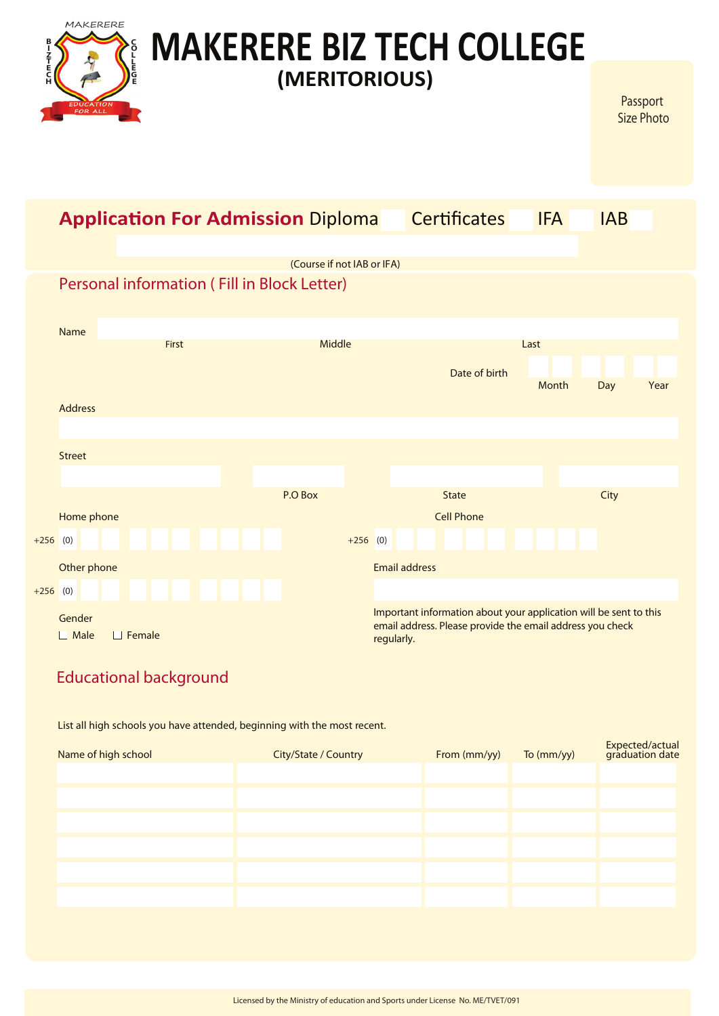|                                                                          | MAKERERE<br><b>MAKERERE BIZ TECH COLLEGE</b> |               |       |  |                                                                           |                   |            |                      |                                                                                                                                |            |            |      |
|--------------------------------------------------------------------------|----------------------------------------------|---------------|-------|--|---------------------------------------------------------------------------|-------------------|------------|----------------------|--------------------------------------------------------------------------------------------------------------------------------|------------|------------|------|
| <b>NNH</b><br>H<br>H<br>H<br>(MERITORIOUS)<br><b>DUCATION</b><br>FOR ALL |                                              |               |       |  |                                                                           |                   |            |                      | Passport<br><b>Size Photo</b>                                                                                                  |            |            |      |
|                                                                          |                                              |               |       |  | <b>Application For Admission Diploma</b>                                  |                   |            |                      | <b>Certificates</b>                                                                                                            | <b>IFA</b> | <b>IAB</b> |      |
|                                                                          |                                              |               |       |  |                                                                           |                   |            |                      |                                                                                                                                |            |            |      |
|                                                                          |                                              |               |       |  | (Course if not IAB or IFA)<br>Personal information (Fill in Block Letter) |                   |            |                      |                                                                                                                                |            |            |      |
|                                                                          |                                              |               |       |  |                                                                           |                   |            |                      |                                                                                                                                |            |            |      |
|                                                                          | Name                                         |               |       |  |                                                                           |                   |            |                      |                                                                                                                                |            |            |      |
|                                                                          |                                              |               | First |  | Middle                                                                    |                   |            |                      |                                                                                                                                | Last       |            |      |
|                                                                          |                                              |               |       |  |                                                                           |                   |            |                      | Date of birth                                                                                                                  | Month      | Day        | Year |
|                                                                          | <b>Address</b>                               |               |       |  |                                                                           |                   |            |                      |                                                                                                                                |            |            |      |
|                                                                          |                                              |               |       |  |                                                                           |                   |            |                      |                                                                                                                                |            |            |      |
|                                                                          | <b>Street</b>                                |               |       |  |                                                                           |                   |            |                      |                                                                                                                                |            |            |      |
|                                                                          |                                              |               |       |  | P.O Box                                                                   |                   |            | <b>State</b>         |                                                                                                                                |            | City       |      |
|                                                                          | Home phone                                   |               |       |  |                                                                           | <b>Cell Phone</b> |            |                      |                                                                                                                                |            |            |      |
| $+256$ (0)                                                               |                                              |               |       |  |                                                                           | $+256$ (0)        |            |                      |                                                                                                                                |            |            |      |
|                                                                          | Other phone                                  |               |       |  |                                                                           |                   |            | <b>Email address</b> |                                                                                                                                |            |            |      |
| $+256$ (0)                                                               |                                              |               |       |  |                                                                           |                   |            |                      |                                                                                                                                |            |            |      |
|                                                                          | Gender<br>$\Box$ Male                        | $\Box$ Female |       |  |                                                                           |                   | regularly. |                      | Important information about your application will be sent to this<br>email address. Please provide the email address you check |            |            |      |

# Educational background

List all high schools you have attended, beginning with the most recent.

| Name of high school | City/State / Country | From (mm/yy) | To (mm/yy) | Expected/actual<br>graduation date |
|---------------------|----------------------|--------------|------------|------------------------------------|
|                     |                      |              |            |                                    |
|                     |                      |              |            |                                    |
|                     |                      |              |            |                                    |
|                     |                      |              |            |                                    |
|                     |                      |              |            |                                    |
|                     |                      |              |            |                                    |
|                     |                      |              |            |                                    |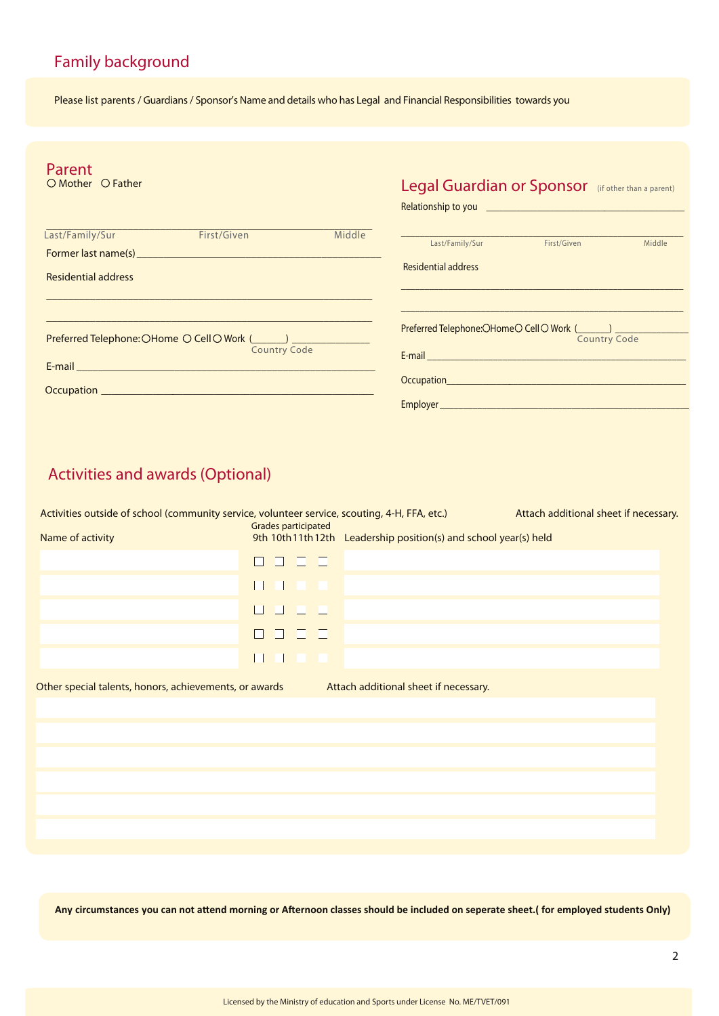# Family background

Please list parents / Guardians / Sponsor's Name and details who has Legal and Financial Responsibilities towards you

| Parent<br>$\bigcirc$ Mother $\bigcirc$ Father |                                                                                                                                                                                                                                      | Legal Guardian or Sponsor (if other than a parent) |                                                                                                                                                                                                                                      |                     |        |
|-----------------------------------------------|--------------------------------------------------------------------------------------------------------------------------------------------------------------------------------------------------------------------------------------|----------------------------------------------------|--------------------------------------------------------------------------------------------------------------------------------------------------------------------------------------------------------------------------------------|---------------------|--------|
|                                               |                                                                                                                                                                                                                                      |                                                    | Relationship to you <u>entitled and the series of the series of the series of the series of the series of the series of the series of the series of the series of the series of the series of the series of the series of the se</u> |                     |        |
| Last/Family/Sur                               | First/Given                                                                                                                                                                                                                          | Middle                                             |                                                                                                                                                                                                                                      |                     |        |
|                                               | <b>Former last name(s) Example 2008 Contract 2008 Contract 2008</b>                                                                                                                                                                  |                                                    | Last/Family/Sur                                                                                                                                                                                                                      | First/Given         | Middle |
| Residential address                           |                                                                                                                                                                                                                                      |                                                    | <b>Residential address</b>                                                                                                                                                                                                           |                     |        |
|                                               | <b>Country Code</b>                                                                                                                                                                                                                  |                                                    | $Preferred$ Telephone: $OH$ ome $\bigcirc$ Cell $\bigcirc$ Work $($                                                                                                                                                                  | <b>Country Code</b> |        |
|                                               |                                                                                                                                                                                                                                      |                                                    |                                                                                                                                                                                                                                      |                     |        |
|                                               | Occupation <b>Contract Contract Contract Contract Contract Contract Contract Contract Contract Contract Contract Contract Contract Contract Contract Contract Contract Contract Contract Contract Contract Contract Contract Con</b> |                                                    | Employer <b>Employer Employer</b>                                                                                                                                                                                                    |                     |        |
|                                               |                                                                                                                                                                                                                                      |                                                    |                                                                                                                                                                                                                                      |                     |        |

# Activities and awards (Optional)

| Activities outside of school (community service, volunteer service, scouting, 4-H, FFA, etc.)<br>Attach additional sheet if necessary.<br>Grades participated |                          |                                                                 |  |  |  |  |  |
|---------------------------------------------------------------------------------------------------------------------------------------------------------------|--------------------------|-----------------------------------------------------------------|--|--|--|--|--|
| Name of activity                                                                                                                                              |                          | 9th 10th11th12th Leadership position(s) and school year(s) held |  |  |  |  |  |
|                                                                                                                                                               | 88888                    |                                                                 |  |  |  |  |  |
|                                                                                                                                                               | a s                      |                                                                 |  |  |  |  |  |
|                                                                                                                                                               | <b>Contract Contract</b> |                                                                 |  |  |  |  |  |
|                                                                                                                                                               | <b>Contract Contract</b> |                                                                 |  |  |  |  |  |
|                                                                                                                                                               |                          |                                                                 |  |  |  |  |  |
| Attach additional sheet if necessary.<br>Other special talents, honors, achievements, or awards                                                               |                          |                                                                 |  |  |  |  |  |

**Any circumstances you can not attend morning or Afternoon classes should be included on seperate sheet.( for employed students Only)**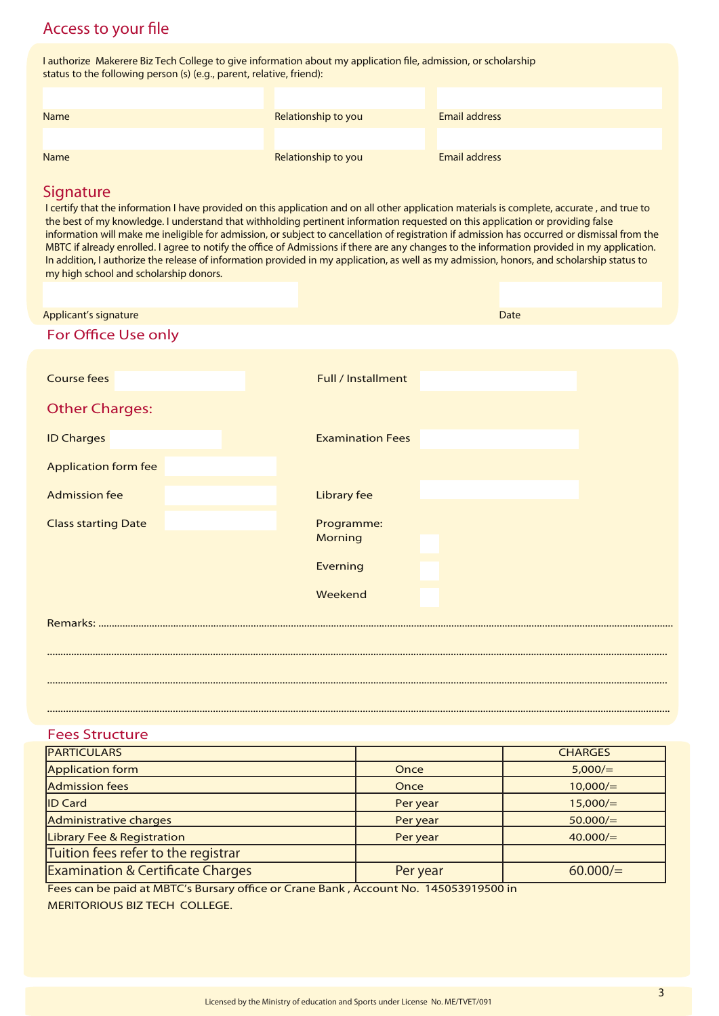## Access to your file

I authorize Makerere Biz Tech College to give information about my application file, admission, or scholarship status to the following person (s) (e.g., parent, relative, friend):

| Name | Relationship to you | <b>Email address</b> |
|------|---------------------|----------------------|
|      |                     |                      |
| Name | Relationship to you | <b>Email address</b> |
|      |                     |                      |

## **Signature**

I certify that the information I have provided on this application and on all other application materials is complete, accurate, and true to the best of my knowledge. I understand that withholding pertinent information requested on this application or providing false information will make me ineligible for admission, or subject to cancellation of registration if admission has occurred or dismissal from the MBTC if already enrolled. I agree to notify the office of Admissions if there are any changes to the information provided in my application. In addition, I authorize the release of information provided in my application, as well as my admission, honors, and scholarship status to my high school and scholarship donors.

| Applicant's signature       | <b>Date</b>                  |  |  |  |  |
|-----------------------------|------------------------------|--|--|--|--|
| For Office Use only         |                              |  |  |  |  |
|                             |                              |  |  |  |  |
| <b>Course fees</b>          | Full / Installment           |  |  |  |  |
| <b>Other Charges:</b>       |                              |  |  |  |  |
| <b>ID Charges</b>           | <b>Examination Fees</b>      |  |  |  |  |
| <b>Application form fee</b> |                              |  |  |  |  |
| <b>Admission fee</b>        | <b>Library fee</b>           |  |  |  |  |
| <b>Class starting Date</b>  | Programme:<br><b>Morning</b> |  |  |  |  |
|                             |                              |  |  |  |  |
|                             | Everning                     |  |  |  |  |
|                             | Weekend                      |  |  |  |  |
|                             |                              |  |  |  |  |
|                             |                              |  |  |  |  |
|                             |                              |  |  |  |  |
|                             |                              |  |  |  |  |

## Fees Structure

| <b>PARTICULARS</b>                           |          | <b>CHARGES</b> |
|----------------------------------------------|----------|----------------|
| Application form                             | Once     | 5,000/         |
| <b>Admission fees</b>                        | Once     | 10,000/        |
| <b>ID Card</b>                               | Per year | 15,000/        |
| Administrative charges                       | Per year | 50.000/        |
| Library Fee & Registration                   | Per year | 40.000/        |
| Tuition fees refer to the registrar          |          |                |
| <b>Examination &amp; Certificate Charges</b> | Per year | 60.000/        |

Fees can be paid at MBTC's Bursary office or Crane Bank, Account No. 145053919500 in MERITORIOUS BIZ TECH COLLEGE.